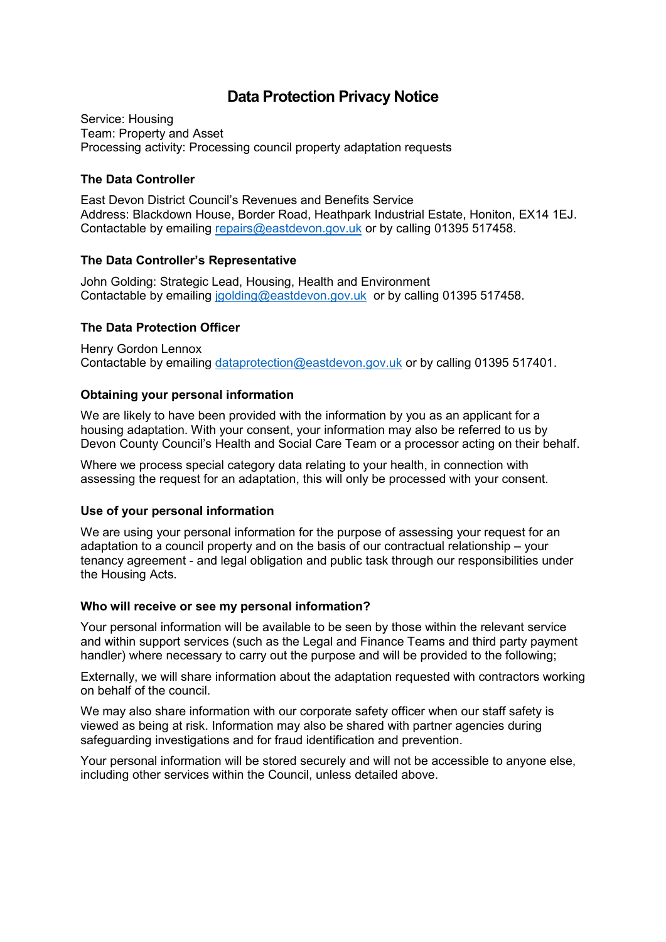# **Data Protection Privacy Notice**

Service: Housing Team: Property and Asset Processing activity: Processing council property adaptation requests

### **The Data Controller**

East Devon District Council's Revenues and Benefits Service Address: Blackdown House, Border Road, Heathpark Industrial Estate, Honiton, EX14 1EJ. Contactable by emailing [repairs@eastdevon.gov.uk](mailto:repairs@eastdevon.gov.uk) or by calling 01395 517458.

## **The Data Controller's Representative**

John Golding: Strategic Lead, Housing, Health and Environment Contactable by emailing [jgolding@eastdevon.gov.uk](mailto:jgolding@eastdevon.gov.uk) or by calling 01395 517458.

## **The Data Protection Officer**

Henry Gordon Lennox Contactable by emailing [dataprotection@eastdevon.gov.uk](mailto:dataprotection@eastdevon.gov.uk) or by calling 01395 517401.

## **Obtaining your personal information**

We are likely to have been provided with the information by you as an applicant for a housing adaptation. With your consent, your information may also be referred to us by Devon County Council's Health and Social Care Team or a processor acting on their behalf.

Where we process special category data relating to your health, in connection with assessing the request for an adaptation, this will only be processed with your consent.

#### **Use of your personal information**

We are using your personal information for the purpose of assessing your request for an adaptation to a council property and on the basis of our contractual relationship – your tenancy agreement - and legal obligation and public task through our responsibilities under the Housing Acts.

#### **Who will receive or see my personal information?**

Your personal information will be available to be seen by those within the relevant service and within support services (such as the Legal and Finance Teams and third party payment handler) where necessary to carry out the purpose and will be provided to the following;

Externally, we will share information about the adaptation requested with contractors working on behalf of the council.

We may also share information with our corporate safety officer when our staff safety is viewed as being at risk. Information may also be shared with partner agencies during safeguarding investigations and for fraud identification and prevention.

Your personal information will be stored securely and will not be accessible to anyone else, including other services within the Council, unless detailed above.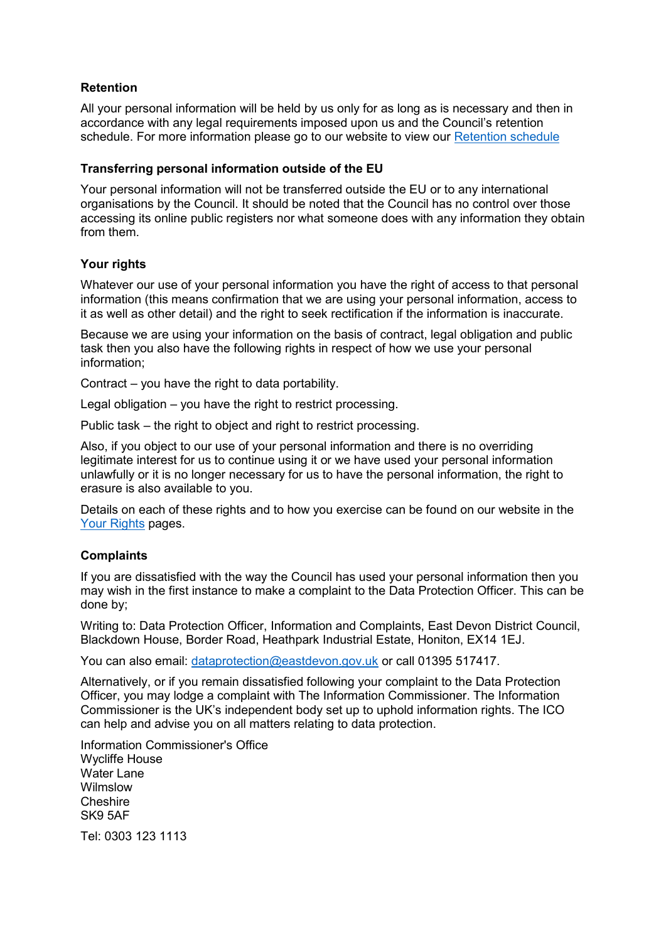## **Retention**

All your personal information will be held by us only for as long as is necessary and then in accordance with any legal requirements imposed upon us and the Council's retention schedule. For more information please go to our website to view our [Retention schedule](http://eastdevon.gov.uk/access-to-information/data-protection/document-retention-schedules/)

#### **Transferring personal information outside of the EU**

Your personal information will not be transferred outside the EU or to any international organisations by the Council. It should be noted that the Council has no control over those accessing its online public registers nor what someone does with any information they obtain from them.

#### **Your rights**

Whatever our use of your personal information you have the right of access to that personal information (this means confirmation that we are using your personal information, access to it as well as other detail) and the right to seek rectification if the information is inaccurate.

Because we are using your information on the basis of contract, legal obligation and public task then you also have the following rights in respect of how we use your personal information;

Contract – you have the right to data portability.

Legal obligation – you have the right to restrict processing.

Public task – the right to object and right to restrict processing.

Also, if you object to our use of your personal information and there is no overriding legitimate interest for us to continue using it or we have used your personal information unlawfully or it is no longer necessary for us to have the personal information, the right to erasure is also available to you.

Details on each of these rights and to how you exercise can be found on our website in the [Your Rights](https://eastdevon.gov.uk/access-to-information/data-protection/data-protection-information/your-rights/) pages.

#### **Complaints**

If you are dissatisfied with the way the Council has used your personal information then you may wish in the first instance to make a complaint to the Data Protection Officer. This can be done by;

Writing to: Data Protection Officer, Information and Complaints, East Devon District Council, Blackdown House, Border Road, Heathpark Industrial Estate, Honiton, EX14 1EJ.

You can also email: [dataprotection@eastdevon.gov.uk](mailto:dataprotection@eastdevon.gov.uk) or call 01395 517417.

Alternatively, or if you remain dissatisfied following your complaint to the Data Protection Officer, you may lodge a complaint with The Information Commissioner. The Information Commissioner is the UK's independent body set up to uphold information rights. The ICO can help and advise you on all matters relating to data protection.

Information Commissioner's Office Wycliffe House Water Lane Wilmslow **Cheshire** SK9 5AF Tel: 0303 123 1113